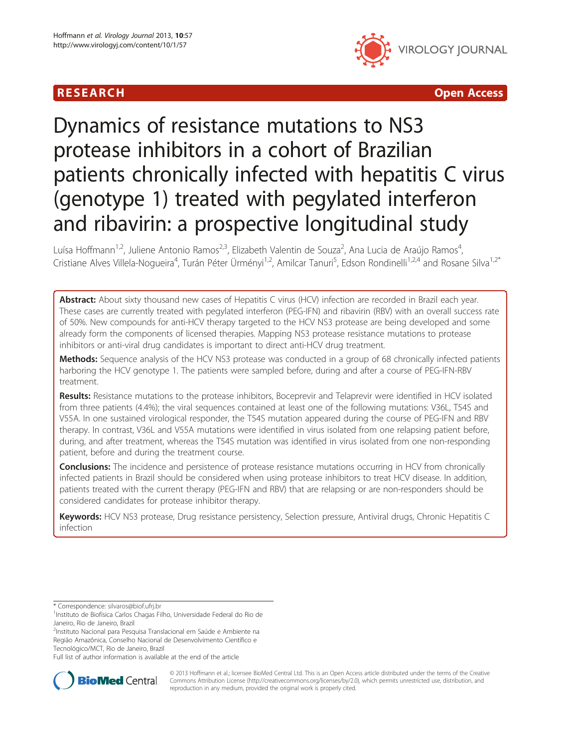# **RESEARCH CHILD CONTROL** CONTROL CONTROL CONTROL CONTROL CONTROL CONTROL CONTROL CONTROL CONTROL CONTROL CONTROL CONTROL CONTROL CONTROL CONTROL CONTROL CONTROL CONTROL CONTROL CONTROL CONTROL CONTROL CONTROL CONTROL CONTR



# Dynamics of resistance mutations to NS3 protease inhibitors in a cohort of Brazilian patients chronically infected with hepatitis C virus (genotype 1) treated with pegylated interferon and ribavirin: a prospective longitudinal study

Luísa Hoffmann<sup>1,2</sup>, Juliene Antonio Ramos<sup>2,3</sup>, Elizabeth Valentin de Souza<sup>2</sup>, Ana Lucia de Araújo Ramos<sup>4</sup> , Cristiane Alves Villela-Nogueira<sup>4</sup>, Turán Péter Ürményi<sup>1,2</sup>, Amilcar Tanuri<sup>5</sup>, Edson Rondinelli<sup>1,2,4</sup> and Rosane Silva<sup>1,2\*</sup>

Abstract: About sixty thousand new cases of Hepatitis C virus (HCV) infection are recorded in Brazil each year. These cases are currently treated with pegylated interferon (PEG-IFN) and ribavirin (RBV) with an overall success rate of 50%. New compounds for anti-HCV therapy targeted to the HCV NS3 protease are being developed and some already form the components of licensed therapies. Mapping NS3 protease resistance mutations to protease inhibitors or anti-viral drug candidates is important to direct anti-HCV drug treatment.

Methods: Sequence analysis of the HCV NS3 protease was conducted in a group of 68 chronically infected patients harboring the HCV genotype 1. The patients were sampled before, during and after a course of PEG-IFN-RBV treatment.

Results: Resistance mutations to the protease inhibitors, Boceprevir and Telaprevir were identified in HCV isolated from three patients (4.4%); the viral sequences contained at least one of the following mutations: V36L, T54S and V55A. In one sustained virological responder, the T54S mutation appeared during the course of PEG-IFN and RBV therapy. In contrast, V36L and V55A mutations were identified in virus isolated from one relapsing patient before, during, and after treatment, whereas the T54S mutation was identified in virus isolated from one non-responding patient, before and during the treatment course.

Conclusions: The incidence and persistence of protease resistance mutations occurring in HCV from chronically infected patients in Brazil should be considered when using protease inhibitors to treat HCV disease. In addition, patients treated with the current therapy (PEG-IFN and RBV) that are relapsing or are non-responders should be considered candidates for protease inhibitor therapy.

Keywords: HCV NS3 protease, Drug resistance persistency, Selection pressure, Antiviral drugs, Chronic Hepatitis C infection

\* Correspondence: [silvaros@biof.ufrj.br](mailto:silvaros@biof.ufrj.br) <sup>1</sup>

<sup>1</sup>Instituto de Biofísica Carlos Chagas Filho, Universidade Federal do Rio de Janeiro, Rio de Janeiro, Brazil

<sup>2</sup>Instituto Nacional para Pesquisa Translacional em Saúde e Ambiente na Região Amazônica, Conselho Nacional de Desenvolvimento Científico e Tecnológico/MCT, Rio de Janeiro, Brazil

Full list of author information is available at the end of the article



© 2013 Hoffmann et al.; licensee BioMed Central Ltd. This is an Open Access article distributed under the terms of the Creative Commons Attribution License [\(http://creativecommons.org/licenses/by/2.0\)](http://creativecommons.org/licenses/by/2.0), which permits unrestricted use, distribution, and reproduction in any medium, provided the original work is properly cited.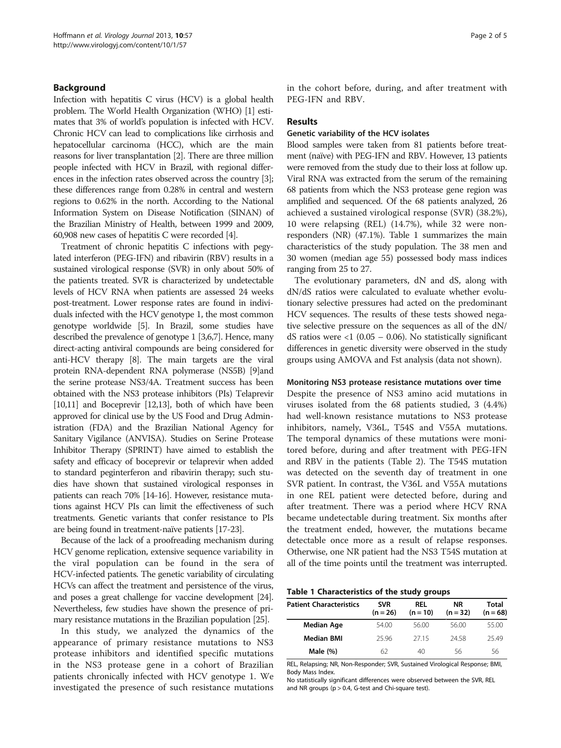# Background

Infection with hepatitis C virus (HCV) is a global health problem. The World Health Organization (WHO) [\[1\]](#page-3-0) estimates that 3% of world's population is infected with HCV. Chronic HCV can lead to complications like cirrhosis and hepatocellular carcinoma (HCC), which are the main reasons for liver transplantation [\[2\]](#page-3-0). There are three million people infected with HCV in Brazil, with regional differences in the infection rates observed across the country [[3](#page-3-0)]; these differences range from 0.28% in central and western regions to 0.62% in the north. According to the National Information System on Disease Notification (SINAN) of the Brazilian Ministry of Health, between 1999 and 2009, 60,908 new cases of hepatitis C were recorded [[4](#page-3-0)].

Treatment of chronic hepatitis C infections with pegylated interferon (PEG-IFN) and ribavirin (RBV) results in a sustained virological response (SVR) in only about 50% of the patients treated. SVR is characterized by undetectable levels of HCV RNA when patients are assessed 24 weeks post-treatment. Lower response rates are found in individuals infected with the HCV genotype 1, the most common genotype worldwide [\[5\]](#page-3-0). In Brazil, some studies have described the prevalence of genotype 1 [\[3,6,7\]](#page-3-0). Hence, many direct-acting antiviral compounds are being considered for anti-HCV therapy [\[8](#page-4-0)]. The main targets are the viral protein RNA-dependent RNA polymerase (NS5B) [\[9\]](#page-4-0)and the serine protease NS3/4A. Treatment success has been obtained with the NS3 protease inhibitors (PIs) Telaprevir [[10,11\]](#page-4-0) and Boceprevir [[12,13](#page-4-0)], both of which have been approved for clinical use by the US Food and Drug Administration (FDA) and the Brazilian National Agency for Sanitary Vigilance (ANVISA). Studies on Serine Protease Inhibitor Therapy (SPRINT) have aimed to establish the safety and efficacy of boceprevir or telaprevir when added to standard peginterferon and ribavirin therapy; such studies have shown that sustained virological responses in patients can reach 70% [[14](#page-4-0)-[16](#page-4-0)]. However, resistance mutations against HCV PIs can limit the effectiveness of such treatments. Genetic variants that confer resistance to PIs are being found in treatment-naïve patients [[17](#page-4-0)-[23](#page-4-0)].

Because of the lack of a proofreading mechanism during HCV genome replication, extensive sequence variability in the viral population can be found in the sera of HCV-infected patients. The genetic variability of circulating HCVs can affect the treatment and persistence of the virus, and poses a great challenge for vaccine development [\[24](#page-4-0)]. Nevertheless, few studies have shown the presence of primary resistance mutations in the Brazilian population [[25](#page-4-0)].

In this study, we analyzed the dynamics of the appearance of primary resistance mutations to NS3 protease inhibitors and identified specific mutations in the NS3 protease gene in a cohort of Brazilian patients chronically infected with HCV genotype 1. We investigated the presence of such resistance mutations in the cohort before, during, and after treatment with PEG-IFN and RBV.

# Results

#### Genetic variability of the HCV isolates

Blood samples were taken from 81 patients before treatment (naïve) with PEG-IFN and RBV. However, 13 patients were removed from the study due to their loss at follow up. Viral RNA was extracted from the serum of the remaining 68 patients from which the NS3 protease gene region was amplified and sequenced. Of the 68 patients analyzed, 26 achieved a sustained virological response (SVR) (38.2%), 10 were relapsing (REL) (14.7%), while 32 were nonresponders (NR) (47.1%). Table 1 summarizes the main characteristics of the study population. The 38 men and 30 women (median age 55) possessed body mass indices ranging from 25 to 27.

The evolutionary parameters, dN and dS, along with dN/dS ratios were calculated to evaluate whether evolutionary selective pressures had acted on the predominant HCV sequences. The results of these tests showed negative selective pressure on the sequences as all of the dN/ dS ratios were  $\langle 1 \rangle$  (0.05 – 0.06). No statistically significant differences in genetic diversity were observed in the study groups using AMOVA and Fst analysis (data not shown).

#### Monitoring NS3 protease resistance mutations over time

Despite the presence of NS3 amino acid mutations in viruses isolated from the 68 patients studied, 3 (4.4%) had well-known resistance mutations to NS3 protease inhibitors, namely, V36L, T54S and V55A mutations. The temporal dynamics of these mutations were monitored before, during and after treatment with PEG-IFN and RBV in the patients (Table [2\)](#page-2-0). The T54S mutation was detected on the seventh day of treatment in one SVR patient. In contrast, the V36L and V55A mutations in one REL patient were detected before, during and after treatment. There was a period where HCV RNA became undetectable during treatment. Six months after the treatment ended, however, the mutations became detectable once more as a result of relapse responses. Otherwise, one NR patient had the NS3 T54S mutation at all of the time points until the treatment was interrupted.

| Table 1 Characteristics of the study groups |
|---------------------------------------------|
|---------------------------------------------|

| <b>SVR</b><br>$(n = 26)$ | RFL<br>$(n = 10)$ | NR.<br>$(n = 32)$ | Total<br>$(n = 68)$ |
|--------------------------|-------------------|-------------------|---------------------|
| 54.00                    | 56.00             | 56.00             | 55.00               |
| 25.96                    | 2715              | 24.58             | 2549                |
| 62                       | 40                | 56                | 56                  |
|                          |                   |                   |                     |

REL, Relapsing; NR, Non-Responder; SVR, Sustained Virological Response; BMI, Body Mass Index.

No statistically significant differences were observed between the SVR, REL and NR groups (p > 0.4, G-test and Chi-square test).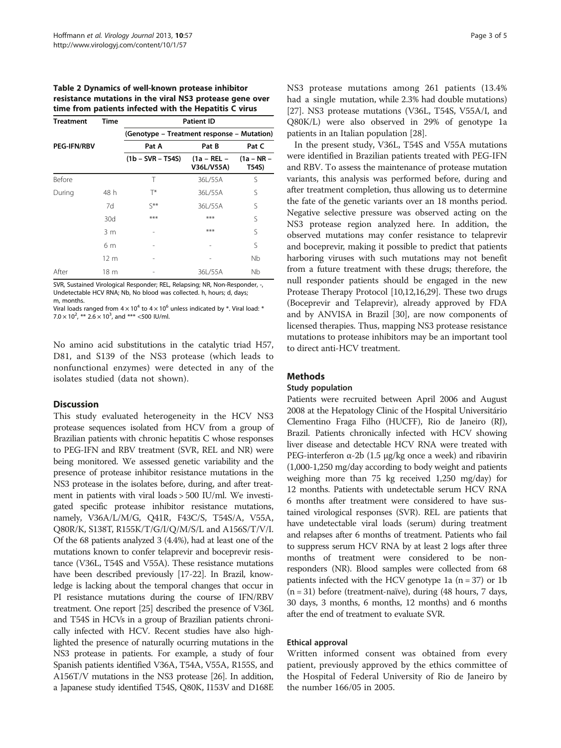<span id="page-2-0"></span>Table 2 Dynamics of well-known protease inhibitor resistance mutations in the viral NS3 protease gene over time from patients infected with the Hepatitis C virus

| <b>Treatment</b>   | Time | <b>Patient ID</b>                          |                           |                       |  |  |
|--------------------|------|--------------------------------------------|---------------------------|-----------------------|--|--|
|                    |      | (Genotype - Treatment response - Mutation) |                           |                       |  |  |
| <b>PEG-IFN/RBV</b> |      | Pat A                                      | Pat B                     | Pat C                 |  |  |
|                    |      | $(1b - SVR - T54S)$                        | (1a – REL –<br>V36L/V55A) | $(1a - NR -$<br>T54S) |  |  |
| <b>Before</b>      |      | Τ                                          | 36L/55A                   | S                     |  |  |
| During             | 48 h | T*                                         | 36L/55A                   | S                     |  |  |
|                    | 7d   | $\zeta$ **                                 | 36L/55A                   | S                     |  |  |
|                    | 30d  | $***$                                      | ***                       | S                     |  |  |
|                    | 3 m  |                                            | ***                       | S                     |  |  |
|                    | 6 m  |                                            |                           | S                     |  |  |
|                    | 12 m |                                            |                           | Nb                    |  |  |
| After              | 18 m |                                            | 36L/55A                   | Nb                    |  |  |

SVR, Sustained Virological Responder; REL, Relapsing; NR, Non-Responder, -, Undetectable HCV RNA; Nb, No blood was collected. h, hours; d, days; m, months.

Viral loads ranged from  $4 \times 10^4$  to  $4 \times 10^6$  unless indicated by \*. Viral load: \*  $7.0 \times 10^{2}$ , \*\*  $2.6 \times 10^{3}$ , and \*\*\* <500 IU/ml.

No amino acid substitutions in the catalytic triad H57, D81, and S139 of the NS3 protease (which leads to nonfunctional enzymes) were detected in any of the isolates studied (data not shown).

# **Discussion**

This study evaluated heterogeneity in the HCV NS3 protease sequences isolated from HCV from a group of Brazilian patients with chronic hepatitis C whose responses to PEG-IFN and RBV treatment (SVR, REL and NR) were being monitored. We assessed genetic variability and the presence of protease inhibitor resistance mutations in the NS3 protease in the isolates before, during, and after treatment in patients with viral loads > 500 IU/ml. We investigated specific protease inhibitor resistance mutations, namely, V36A/L/M/G, Q41R, F43C/S, T54S/A, V55A, Q80R/K, S138T, R155K/T/G/I/Q/M/S/L and A156S/T/V/I. Of the 68 patients analyzed 3 (4.4%), had at least one of the mutations known to confer telaprevir and boceprevir resistance (V36L, T54S and V55A). These resistance mutations have been described previously [[17-22\]](#page-4-0). In Brazil, knowledge is lacking about the temporal changes that occur in PI resistance mutations during the course of IFN/RBV treatment. One report [\[25\]](#page-4-0) described the presence of V36L and T54S in HCVs in a group of Brazilian patients chronically infected with HCV. Recent studies have also highlighted the presence of naturally ocurring mutations in the NS3 protease in patients. For example, a study of four Spanish patients identified V36A, T54A, V55A, R155S, and A156T/V mutations in the NS3 protease [[26](#page-4-0)]. In addition, a Japanese study identified T54S, Q80K, I153V and D168E NS3 protease mutations among 261 patients (13.4% had a single mutation, while 2.3% had double mutations) [[27](#page-4-0)]. NS3 protease mutations (V36L, T54S, V55A/I, and Q80K/L) were also observed in 29% of genotype 1a patients in an Italian population [\[28\]](#page-4-0).

In the present study, V36L, T54S and V55A mutations were identified in Brazilian patients treated with PEG-IFN and RBV. To assess the maintenance of protease mutation variants, this analysis was performed before, during and after treatment completion, thus allowing us to determine the fate of the genetic variants over an 18 months period. Negative selective pressure was observed acting on the NS3 protease region analyzed here. In addition, the observed mutations may confer resistance to telaprevir and boceprevir, making it possible to predict that patients harboring viruses with such mutations may not benefit from a future treatment with these drugs; therefore, the null responder patients should be engaged in the new Protease Therapy Protocol [\[10,12,16,29\]](#page-4-0). These two drugs (Boceprevir and Telaprevir), already approved by FDA and by ANVISA in Brazil [\[30\]](#page-4-0), are now components of licensed therapies. Thus, mapping NS3 protease resistance mutations to protease inhibitors may be an important tool to direct anti-HCV treatment.

# **Methods**

# Study population

Patients were recruited between April 2006 and August 2008 at the Hepatology Clinic of the Hospital Universitário Clementino Fraga Filho (HUCFF), Rio de Janeiro (RJ), Brazil. Patients chronically infected with HCV showing liver disease and detectable HCV RNA were treated with PEG-interferon  $\alpha$ -2b (1.5 μg/kg once a week) and ribavirin (1,000-1,250 mg/day according to body weight and patients weighing more than 75 kg received 1,250 mg/day) for 12 months. Patients with undetectable serum HCV RNA 6 months after treatment were considered to have sustained virological responses (SVR). REL are patients that have undetectable viral loads (serum) during treatment and relapses after 6 months of treatment. Patients who fail to suppress serum HCV RNA by at least 2 logs after three months of treatment were considered to be nonresponders (NR). Blood samples were collected from 68 patients infected with the HCV genotype 1a  $(n = 37)$  or 1b (n = 31) before (treatment-naïve), during (48 hours, 7 days, 30 days, 3 months, 6 months, 12 months) and 6 months after the end of treatment to evaluate SVR.

# Ethical approval

Written informed consent was obtained from every patient, previously approved by the ethics committee of the Hospital of Federal University of Rio de Janeiro by the number 166/05 in 2005.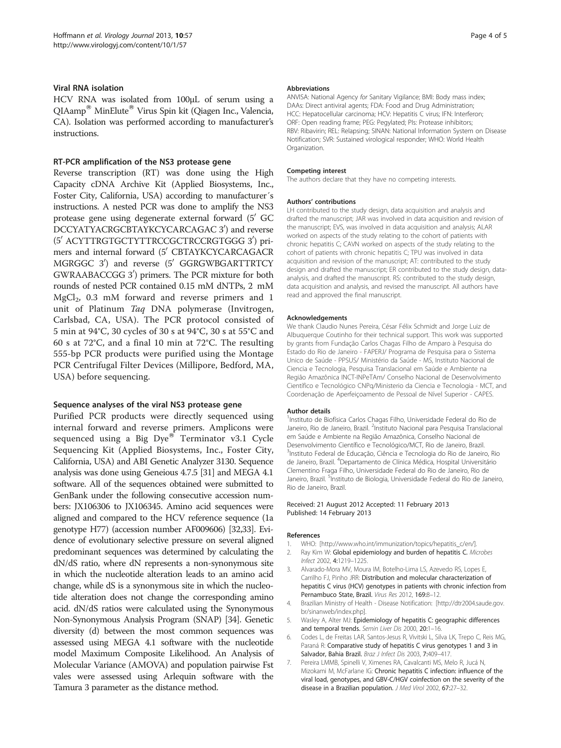# <span id="page-3-0"></span>Viral RNA isolation

HCV RNA was isolated from 100μL of serum using a  $QIAamp^{\circledR}$  MinElute<sup>®</sup> Virus Spin kit (Qiagen Inc., Valencia, CA). Isolation was performed according to manufacturer's instructions.

#### RT-PCR amplification of the NS3 protease gene

Reverse transcription (RT) was done using the High Capacity cDNA Archive Kit (Applied Biosystems, Inc., Foster City, California, USA) according to manufacturer´s instructions. A nested PCR was done to amplify the NS3 protease gene using degenerate external forward  $(5'$  GC DCCYATYACRGCBTAYKCYCARCAGAC 3') and reverse (5' ACYTTRGTGCTYTTRCCGCTRCCRGTGGG 3') primers and internal forward (5' CBTAYKCYCARCAGACR MGRGGC 3') and reverse (5' GGRGWBGARTTRTCY GWRAABACCGG 3') primers. The PCR mixture for both rounds of nested PCR contained 0.15 mM dNTPs, 2 mM MgCl<sub>2</sub>, 0.3 mM forward and reverse primers and 1 unit of Platinum Taq DNA polymerase (Invitrogen, Carlsbad, CA, USA). The PCR protocol consisted of 5 min at 94°C, 30 cycles of 30 s at 94°C, 30 s at 55°C and 60 s at 72°C, and a final 10 min at 72°C. The resulting 555-bp PCR products were purified using the Montage PCR Centrifugal Filter Devices (Millipore, Bedford, MA, USA) before sequencing.

#### Sequence analyses of the viral NS3 protease gene

Purified PCR products were directly sequenced using internal forward and reverse primers. Amplicons were sequenced using a Big Dye $^{\circledR}$  Terminator v3.1 Cycle Sequencing Kit (Applied Biosystems, Inc., Foster City, California, USA) and ABI Genetic Analyzer 3130. Sequence analysis was done using Geneious 4.7.5 [[31](#page-4-0)] and MEGA 4.1 software. All of the sequences obtained were submitted to GenBank under the following consecutive accession numbers: JX106306 to JX106345. Amino acid sequences were aligned and compared to the HCV reference sequence (1a genotype H77) (accession number AF009606) [\[32,33\]](#page-4-0). Evidence of evolutionary selective pressure on several aligned predominant sequences was determined by calculating the dN/dS ratio, where dN represents a non-synonymous site in which the nucleotide alteration leads to an amino acid change, while dS is a synonymous site in which the nucleotide alteration does not change the corresponding amino acid. dN/dS ratios were calculated using the Synonymous Non-Synonymous Analysis Program (SNAP) [\[34](#page-4-0)]. Genetic diversity (d) between the most common sequences was assessed using MEGA 4.1 software with the nucleotide model Maximum Composite Likelihood. An Analysis of Molecular Variance (AMOVA) and population pairwise Fst vales were assessed using Arlequin software with the Tamura 3 parameter as the distance method.

#### **Abbreviations**

ANVISA: National Agency for Sanitary Vigilance; BMI: Body mass index; DAAs: Direct antiviral agents; FDA: Food and Drug Administration; HCC: Hepatocellular carcinoma; HCV: Hepatitis C virus; IFN: Interferon; ORF: Open reading frame; PEG: Pegylated; PIs: Protease inhibitors; RBV: Ribavirin; REL: Relapsing; SINAN: National Information System on Disease Notification; SVR: Sustained virological responder; WHO: World Health Organization.

#### Competing interest

The authors declare that they have no competing interests.

#### Authors' contributions

LH contributed to the study design, data acquisition and analysis and drafted the manuscript; JAR was involved in data acquisition and revision of the manuscript; EVS, was involved in data acquisition and analysis; ALAR worked on aspects of the study relating to the cohort of patients with chronic hepatitis C; CAVN worked on aspects of the study relating to the cohort of patients with chronic hepatitis C; TPU was involved in data acquisition and revision of the manuscript; AT: contributed to the study design and drafted the manuscript; ER contributed to the study design, dataanalysis, and drafted the manuscript. RS: contributed to the study design, data acquisition and analysis, and revised the manuscript. All authors have read and approved the final manuscript.

#### Acknowledgements

We thank Claudio Nunes Pereira, César Félix Schmidt and Jorge Luiz de Albuquerque Coutinho for their technical support. This work was supported by grants from Fundação Carlos Chagas Filho de Amparo à Pesquisa do Estado do Rio de Janeiro - FAPERJ/ Programa de Pesquisa para o Sistema Unico de Saúde - PPSUS/ Ministério da Saúde - MS, Instituto Nacional de Ciencia e Tecnologia, Pesquisa Translacional em Saúde e Ambiente na Região Amazônica INCT-INPeTAm/ Conselho Nacional de Desenvolvimento Científico e Tecnológico CNPq/Ministerio da Ciencia e Tecnologia - MCT, and Coordenação de Aperfeiçoamento de Pessoal de Nível Superior - CAPES.

#### Author details

<sup>1</sup>Instituto de Biofísica Carlos Chagas Filho, Universidade Federal do Rio de Janeiro, Rio de Janeiro, Brazil. <sup>2</sup>Instituto Nacional para Pesquisa Translacional em Saúde e Ambiente na Região Amazônica, Conselho Nacional de Desenvolvimento Científico e Tecnológico/MCT, Rio de Janeiro, Brazil. <sup>3</sup>Instituto Federal de Educação, Ciência e Tecnologia do Rio de Janeiro, Rio de Janeiro, Brazil. <sup>4</sup>Departamento de Clínica Médica, Hospital Universitário Clementino Fraga Filho, Universidade Federal do Rio de Janeiro, Rio de Janeiro, Brazil. <sup>5</sup>Instituto de Biologia, Universidade Federal do Rio de Janeiro, Rio de Janeiro, Brazil.

#### Received: 21 August 2012 Accepted: 11 February 2013 Published: 14 February 2013

#### References

- 1. WHO: [\[http://www.who.int/immunization/topics/hepatitis\\_c/en/\]](http://www.who.int/immunization/topics/hepatitis_c/en/).
- 2. Ray Kim W: Global epidemiology and burden of hepatitis C. Microbes Infect 2002, 4:1219–1225.
- 3. Alvarado-Mora MV, Moura IM, Botelho-Lima LS, Azevedo RS, Lopes E, Carrilho FJ, Pinho JRR: Distribution and molecular characterization of hepatitis C virus (HCV) genotypes in patients with chronic infection from Pernambuco State, Brazil. Virus Res 2012, 169:8-12.
- 4. Brazilian Ministry of Health Disease Notification: [[http://dtr2004.saude.gov.](http://dtr2004.saude.gov.br/sinanweb/index.php) [br/sinanweb/index.php](http://dtr2004.saude.gov.br/sinanweb/index.php)].
- Wasley A, Alter MJ: Epidemiology of hepatitis C: geographic differences and temporal trends. Semin Liver Dis 2000, 20:1–16.
- 6. Codes L, de Freitas LAR, Santos-Jesus R, Vivitski L, Silva LK, Trepo C, Reis MG, Paraná R: Comparative study of hepatitis C virus genotypes 1 and 3 in Salvador, Bahia Brazil. Braz J Infect Dis 2003, 7:409–417.
- 7. Pereira LMMB, Spinelli V, Ximenes RA, Cavalcanti MS, Melo R, Jucá N, Mizokami M, McFarlane IG: Chronic hepatitis C infection: influence of the viral load, genotypes, and GBV-C/HGV coinfection on the severity of the disease in a Brazilian population. J Med Virol 2002, 67:27-32.